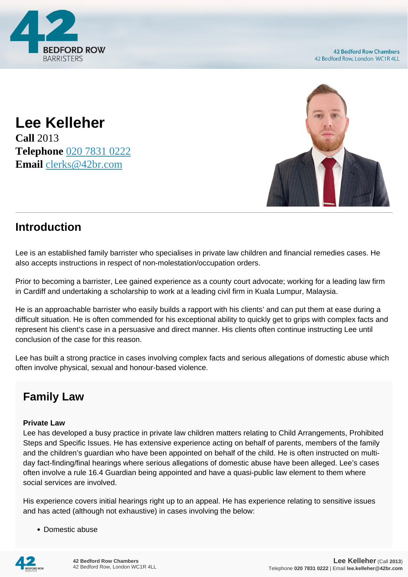

**42 Bedford Row Chambers** 42 Bedford Row, London WC1R 4LL

**Lee Kelleher Call** 2013 **Telephone** [020 7831 0222](https://pdf.codeshore.co/_42br/tel:020 7831 0222) **Email** [clerks@42br.com](mailto:clerks@42br.com)



## **Introduction**

Lee is an established family barrister who specialises in private law children and financial remedies cases. He also accepts instructions in respect of non-molestation/occupation orders.

Prior to becoming a barrister, Lee gained experience as a county court advocate; working for a leading law firm in Cardiff and undertaking a scholarship to work at a leading civil firm in Kuala Lumpur, Malaysia.

He is an approachable barrister who easily builds a rapport with his clients' and can put them at ease during a difficult situation. He is often commended for his exceptional ability to quickly get to grips with complex facts and represent his client's case in a persuasive and direct manner. His clients often continue instructing Lee until conclusion of the case for this reason.

Lee has built a strong practice in cases involving complex facts and serious allegations of domestic abuse which often involve physical, sexual and honour-based violence.

# **Family Law**

### **Private Law**

Lee has developed a busy practice in private law children matters relating to Child Arrangements, Prohibited Steps and Specific Issues. He has extensive experience acting on behalf of parents, members of the family and the children's guardian who have been appointed on behalf of the child. He is often instructed on multiday fact-finding/final hearings where serious allegations of domestic abuse have been alleged. Lee's cases often involve a rule 16.4 Guardian being appointed and have a quasi-public law element to them where social services are involved.

His experience covers initial hearings right up to an appeal. He has experience relating to sensitive issues and has acted (although not exhaustive) in cases involving the below:

• Domestic abuse